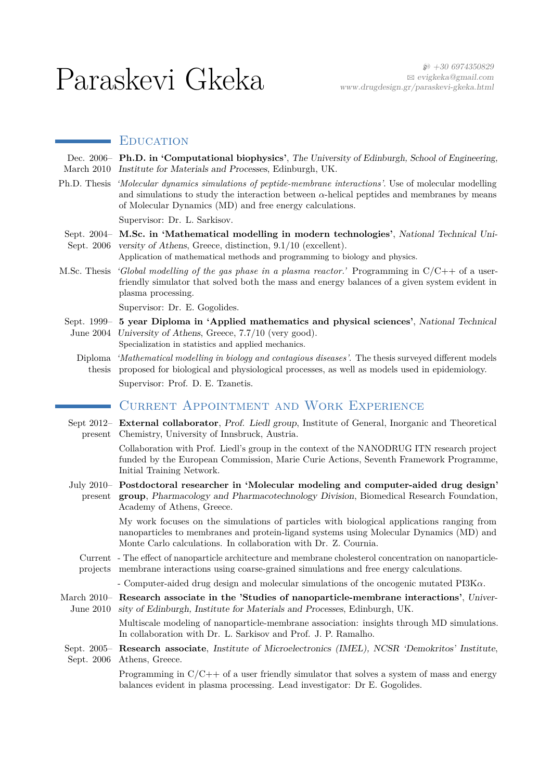# $\operatorname{Paraskevi} \operatorname{Gkeka} \overset{\text{\tiny{\textsf{6}}$}}{\operatorname{new30 6974350829}} \operatorname{PerigkekaQgmail.com}_{\text{\tiny\textsf{www.drugdesign.gr/paraskevi-gkeka.html}}}$

## EDUCATION

|                   | Dec. 2006- Ph.D. in 'Computational biophysics', The University of Edinburgh, School of Engineering,<br>March 2010 Institute for Materials and Processes, Edinburgh, UK.                                                                                         |  |  |
|-------------------|-----------------------------------------------------------------------------------------------------------------------------------------------------------------------------------------------------------------------------------------------------------------|--|--|
| Ph.D. Thesis      | 'Molecular dynamics simulations of peptide-membrane interactions'. Use of molecular modelling<br>and simulations to study the interaction between $\alpha$ -helical peptides and membranes by means<br>of Molecular Dynamics (MD) and free energy calculations. |  |  |
|                   | Supervisor: Dr. L. Sarkisov.                                                                                                                                                                                                                                    |  |  |
|                   | Sept. 2004- M.Sc. in 'Mathematical modelling in modern technologies', National Technical Uni-<br>Sept. 2006 versity of Athens, Greece, distinction, 9.1/10 (excellent).<br>Application of mathematical methods and programming to biology and physics.          |  |  |
| M.Sc. Thesis      | 'Global modelling of the gas phase in a plasma reactor.' Programming in $C/C++$ of a user-<br>friendly simulator that solved both the mass and energy balances of a given system evident in<br>plasma processing.                                               |  |  |
|                   | Supervisor: Dr. E. Gogolides.                                                                                                                                                                                                                                   |  |  |
|                   | Sept. 1999– 5 year Diploma in 'Applied mathematics and physical sciences', National Technical<br>June 2004 University of Athens, Greece, 7.7/10 (very good).<br>Specialization in statistics and applied mechanics.                                             |  |  |
| Diploma<br>thesis | 'Mathematical modelling in biology and contagious diseases'. The thesis surveyed different models<br>proposed for biological and physiological processes, as well as models used in epidemiology.<br>Supervisor: Prof. D. E. Tzanetis.                          |  |  |
|                   | <b>CURRENT APPOINTMENT AND WORK EXPERIENCE</b>                                                                                                                                                                                                                  |  |  |
| present           | Sept 2012– External collaborator, Prof. Liedl group, Institute of General, Inorganic and Theoretical<br>Chemistry, University of Innsbruck, Austria.                                                                                                            |  |  |
|                   | Collaboration with Prof. Liedl's group in the context of the NANODRUG ITN research project<br>funded by the European Commission, Marie Curie Actions, Seventh Framework Programme,<br>Initial Training Network.                                                 |  |  |
| present           | July 2010 - Postdoctoral researcher in 'Molecular modeling and computer-aided drug design'<br>group, Pharmacology and Pharmacotechnology Division, Biomedical Research Foundation,<br>Academy of Athens, Greece.                                                |  |  |
|                   | My work focuses on the simulations of particles with biological applications ranging from<br>nanoparticles to membranes and protein-ligand systems using Molecular Dynamics (MD) and<br>Monte Carlo calculations. In collaboration with Dr. Z. Cournia.         |  |  |
|                   | Current - The effect of nanoparticle architecture and membrane cholesterol concentration on nanoparticle-<br>projects membrane interactions using coarse-grained simulations and free energy calculations.                                                      |  |  |
|                   | - Computer-aided drug design and molecular simulations of the oncogenic mutated $PI3K\alpha$ .                                                                                                                                                                  |  |  |
| June $2010$       | March 2010- Research associate in the 'Studies of nanoparticle-membrane interactions', Univer-<br>sity of Edinburgh, Institute for Materials and Processes, Edinburgh, UK.                                                                                      |  |  |
|                   | Multiscale modeling of nanoparticle-membrane association: insights through MD simulations.<br>In collaboration with Dr. L. Sarkisov and Prof. J. P. Ramalho.                                                                                                    |  |  |
| Sept. 2006        | Sept. 2005- Research associate, Institute of Microelectronics (IMEL), NCSR 'Demokritos' Institute,<br>Athens, Greece.                                                                                                                                           |  |  |
|                   | Programming in $C/C++$ of a user friendly simulator that solves a system of mass and energy<br>balances evident in plasma processing. Lead investigator: Dr E. Gogolides.                                                                                       |  |  |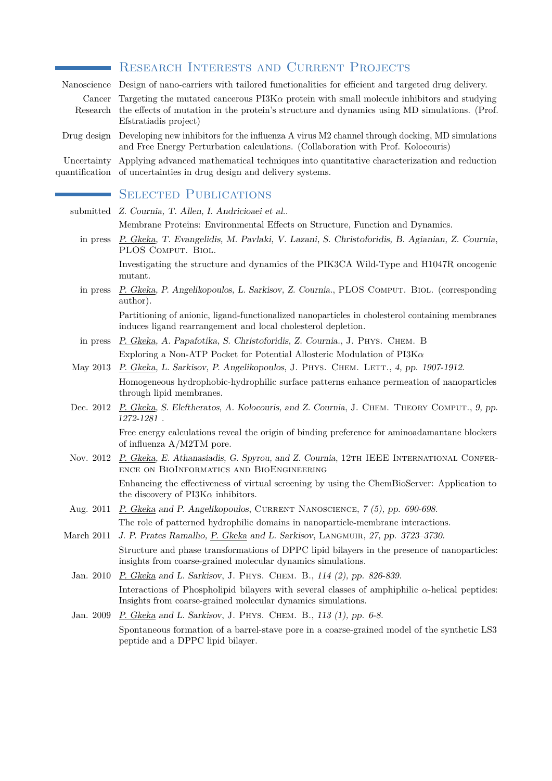|                               | RESEARCH INTERESTS AND CURRENT PROJECTS                                                                                                                                                                                   |  |  |
|-------------------------------|---------------------------------------------------------------------------------------------------------------------------------------------------------------------------------------------------------------------------|--|--|
| Nanoscience                   | Design of nano-carriers with tailored functionalities for efficient and targeted drug delivery.                                                                                                                           |  |  |
| Cancer<br>Research            | Targeting the mutated cancerous $PI3K\alpha$ protein with small molecule inhibitors and studying<br>the effects of mutation in the protein's structure and dynamics using MD simulations. (Prof.<br>Efstratiadis project) |  |  |
| Drug design                   | Developing new inhibitors for the influenza A virus M2 channel through docking, MD simulations<br>and Free Energy Perturbation calculations. (Collaboration with Prof. Kolocouris)                                        |  |  |
| Uncertainty<br>quantification | Applying advanced mathematical techniques into quantitative characterization and reduction<br>of uncertainties in drug design and delivery systems.                                                                       |  |  |
|                               | <b>SELECTED PUBLICATIONS</b>                                                                                                                                                                                              |  |  |
|                               | submitted Z. Cournia, T. Allen, I. Andricioaei et al                                                                                                                                                                      |  |  |
|                               | Membrane Proteins: Environmental Effects on Structure, Function and Dynamics.                                                                                                                                             |  |  |
| in press                      | P. Gkeka, T. Evangelidis, M. Pavlaki, V. Lazani, S. Christoforidis, B. Agianian, Z. Cournia,<br>PLOS COMPUT. BIOL.                                                                                                        |  |  |
|                               | Investigating the structure and dynamics of the PIK3CA Wild-Type and H1047R oncogenic<br>mutant.                                                                                                                          |  |  |
| in press                      | P. Gkeka, P. Angelikopoulos, L. Sarkisov, Z. Cournia., PLOS COMPUT. BIOL. (corresponding<br>author.                                                                                                                       |  |  |
|                               | Partitioning of anionic, ligand-functionalized nanoparticles in cholesterol containing membranes<br>induces ligand rearrangement and local cholesterol depletion.                                                         |  |  |
| in press                      | P. Gkeka, A. Papafotika, S. Christoforidis, Z. Cournia., J. PHYS. CHEM. B                                                                                                                                                 |  |  |
|                               | Exploring a Non-ATP Pocket for Potential Allosteric Modulation of $PI3K\alpha$                                                                                                                                            |  |  |
| May 2013                      | P. Gkeka, L. Sarkisov, P. Angelikopoulos, J. PHYS. CHEM. LETT., 4, pp. 1907-1912.                                                                                                                                         |  |  |
|                               | Homogeneous hydrophobic-hydrophilic surface patterns enhance permeation of nanoparticles<br>through lipid membranes.                                                                                                      |  |  |
| Dec. 2012                     | P. Gkeka, S. Eleftheratos, A. Kolocouris, and Z. Cournia, J. CHEM. THEORY COMPUT., 9, pp.<br>1272-1281.                                                                                                                   |  |  |
|                               | Free energy calculations reveal the origin of binding preference for aminoadamantane blockers<br>of influenza $A/M2TM$ pore.                                                                                              |  |  |
| Nov. 2012                     | P. Gkeka, E. Athanasiadis, G. Spyrou, and Z. Cournia, 12TH IEEE INTERNATIONAL CONFER-<br>ENCE ON BIOINFORMATICS AND BIOENGINEERING                                                                                        |  |  |
|                               | Enhancing the effectiveness of virtual screening by using the ChemBioServer: Application to<br>the discovery of $PI3K\alpha$ inhibitors.                                                                                  |  |  |
| Aug. 2011                     | P. Gkeka and P. Angelikopoulos, CURRENT NANOSCIENCE, 7 (5), pp. 690-698.                                                                                                                                                  |  |  |
|                               | The role of patterned hydrophilic domains in nanoparticle-membrane interactions.                                                                                                                                          |  |  |
| March 2011                    | J. P. Prates Ramalho, P. Gkeka and L. Sarkisov, LANGMUIR, 27, pp. 3723–3730.                                                                                                                                              |  |  |
|                               | Structure and phase transformations of DPPC lipid bilayers in the presence of nanoparticles:<br>insights from coarse-grained molecular dynamics simulations.                                                              |  |  |
| Jan. 2010                     | P. Gkeka and L. Sarkisov, J. PHYS. CHEM. B., 114 (2), pp. 826-839.                                                                                                                                                        |  |  |
|                               | Interactions of Phospholipid bilayers with several classes of amphiphilic $\alpha$ -helical peptides:<br>Insights from coarse-grained molecular dynamics simulations.                                                     |  |  |
| Jan. 2009                     | P. Gkeka and L. Sarkisov, J. PHYS. CHEM. B., $113$ (1), pp. 6-8.                                                                                                                                                          |  |  |
|                               | Spontaneous formation of a barrel-stave pore in a coarse-grained model of the synthetic LS3<br>peptide and a DPPC lipid bilayer.                                                                                          |  |  |
|                               |                                                                                                                                                                                                                           |  |  |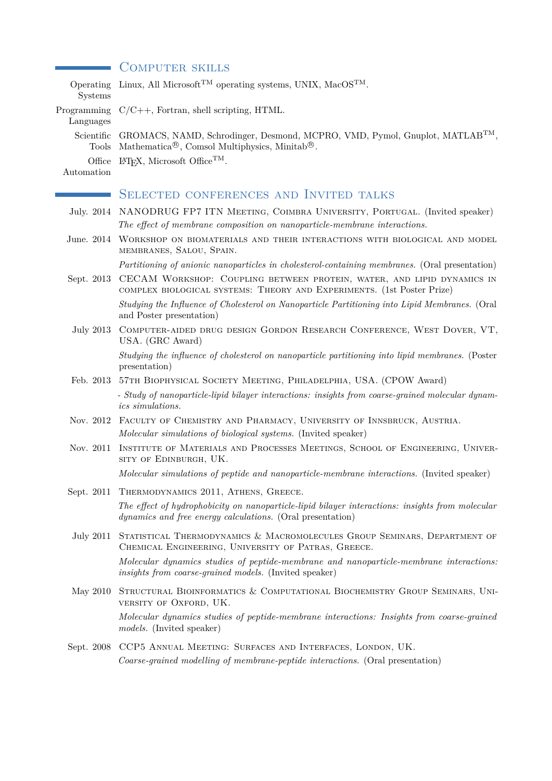### **COMPUTER SKILLS**

| Operating<br>Systems       | Linux, All Microsoft <sup>TM</sup> operating systems, UNIX, MacOS <sup>TM</sup> .                                                                                 |  |  |
|----------------------------|-------------------------------------------------------------------------------------------------------------------------------------------------------------------|--|--|
| Programming<br>Languages   | $C/C++$ , Fortran, shell scripting, HTML.                                                                                                                         |  |  |
| Scientific<br><b>Tools</b> | GROMACS, NAMD, Schrodinger, Desmond, MCPRO, VMD, Pymol, Gnuplot, MATLAB <sup>TM</sup> ,<br>Mathematica <sup>®</sup> , Comsol Multiphysics, Minitab <sup>®</sup> . |  |  |
| Office<br>Automation       | IAT <sub>F</sub> X, Microsoft Office <sup>TM</sup> .                                                                                                              |  |  |
|                            | <b>SELECTED CONFERENCES AND INVITED TALKS</b>                                                                                                                     |  |  |
|                            |                                                                                                                                                                   |  |  |
|                            | July. 2014 NANODRUG FP7 ITN MEETING, COIMBRA UNIVERSITY, PORTUGAL. (Invited speaker)<br>The effect of membrane composition on nanoparticle-membrane interactions. |  |  |
|                            | June. 2014 WORKSHOP ON BIOMATERIALS AND THEIR INTERACTIONS WITH BIOLOGICAL AND MODEL<br>MEMBRANES, SALOU, SPAIN.                                                  |  |  |
|                            | Partitioning of anionic nanoparticles in cholesterol-containing membranes. (Oral presentation)                                                                    |  |  |
| Sept. 2013                 | CECAM WORKSHOP: COUPLING BETWEEN PROTEIN, WATER, AND LIPID DYNAMICS IN<br>COMPLEX BIOLOGICAL SYSTEMS: THEORY AND EXPERIMENTS. (1st Poster Prize)                  |  |  |
|                            | Studying the Influence of Cholesterol on Nanoparticle Partitioning into Lipid Membranes. (Oral<br>and Poster presentation)                                        |  |  |
| July 2013                  | COMPUTER-AIDED DRUG DESIGN GORDON RESEARCH CONFERENCE, WEST DOVER, VT,<br>USA. (GRC Award)                                                                        |  |  |
|                            | Studying the influence of cholesterol on nanoparticle partitioning into lipid membranes. (Poster<br>presentation)                                                 |  |  |
|                            | Feb. 2013 57TH BIOPHYSICAL SOCIETY MEETING, PHILADELPHIA, USA. (CPOW Award)                                                                                       |  |  |
|                            | - Study of nanoparticle-lipid bilayer interactions: insights from coarse-grained molecular dynam-<br>ics simulations.                                             |  |  |
|                            | Nov. 2012 FACULTY OF CHEMISTRY AND PHARMACY, UNIVERSITY OF INNSBRUCK, AUSTRIA.                                                                                    |  |  |
|                            | Molecular simulations of biological systems. (Invited speaker)                                                                                                    |  |  |
| Nov. 2011                  | INSTITUTE OF MATERIALS AND PROCESSES MEETINGS, SCHOOL OF ENGINEERING, UNIVER-<br>SITY OF EDINBURGH, UK.                                                           |  |  |
|                            | Molecular simulations of peptide and nanoparticle-membrane interactions. (Invited speaker)                                                                        |  |  |
|                            | Sept. 2011 THERMODYNAMICS 2011, ATHENS, GREECE.                                                                                                                   |  |  |
|                            | The effect of hydrophobicity on nanoparticle-lipid bilayer interactions: insights from molecular<br>dynamics and free energy calculations. (Oral presentation)    |  |  |
|                            | July 2011 STATISTICAL THERMODYNAMICS & MACROMOLECULES GROUP SEMINARS, DEPARTMENT OF<br>CHEMICAL ENGINEERING, UNIVERSITY OF PATRAS, GREECE.                        |  |  |
|                            | Molecular dynamics studies of peptide-membrane and nanoparticle-membrane interactions:<br>insights from coarse-grained models. (Invited speaker)                  |  |  |
| May 2010                   | STRUCTURAL BIOINFORMATICS & COMPUTATIONAL BIOCHEMISTRY GROUP SEMINARS, UNI-<br>VERSITY OF OXFORD, UK.                                                             |  |  |
|                            | Molecular dynamics studies of peptide-membrane interactions: Insights from coarse-grained<br><i>models.</i> (Invited speaker)                                     |  |  |
|                            | Sept. 2008 CCP5 ANNUAL MEETING: SURFACES AND INTERFACES, LONDON, UK.                                                                                              |  |  |
|                            | Coarse-grained modelling of membrane-peptide interactions. (Oral presentation)                                                                                    |  |  |
|                            |                                                                                                                                                                   |  |  |